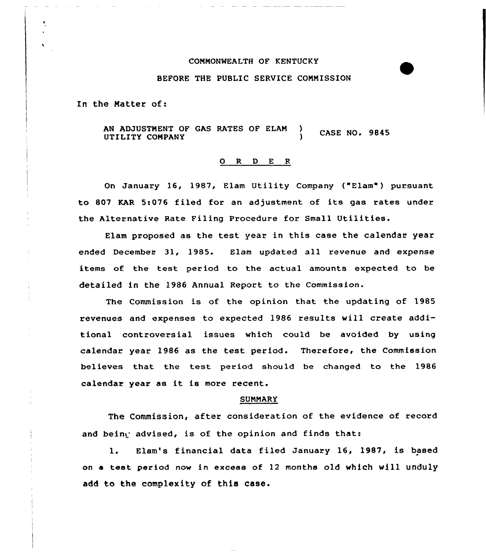# COMMONWEALTH OF KENTUCKY

# BEFORE THE PUBLIC SERVICE COMMISSION

In the Natter of:

AN ADJUSTMENT OF GAS RATES OF ELAN ) **CASE NO. 9845** UTILITY COMPANY

### ORDER

On January 16, 1987, Elam Utility Company ("Elam") pursuant to 807 KAR 5:076 filed for an adjustment of its gas rates under the Alternative Rate Filing Procedure for Small Utilities.

Elam proposed as the test year in this case the calendar year ended December 31, 1985. Elam updated all revenue and expense items of the test period to the actual amounts expected to be detailed in the 1986 Annual Report to the Commission.

The Commission is of the opinion that the updating of 1985 revenues and expenses to expected 1986 results will create additional controversial issues which could be avoided by using calendar year 1986 as the test period. Therefore, the Commission believes that the test period should be changed to the 1986 calendar year as it is more recent.

#### SUMMARY

The Commission, after consideration of the evidence of record and being advised, is of the opinion and finds that:

l. Elam's financial data filed January 16, 1987, is based on a test period now in excess of 12 months old which will unduly add to the complexity of this case.